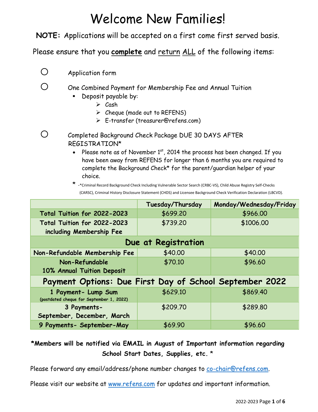# Welcome New Families!

**NOTE:** Applications will be accepted on a first come first served basis.

Please ensure that you **complete** and return ALL of the following items:

o Application form

 $\bigcirc$  One Combined Payment for Membership Fee and Annual Tuition

- **Deposit payable by:** 
	- $\triangleright$  Cash
	- $\triangleright$  Cheque (made out to REFENS)
	- E-transfer (treasurer@refens.com)
- o Completed Background Check Package DUE 30 DAYS AFTER REGISTRATION\*
	- Please note as of November  $1<sup>st</sup>$ , 2014 the process has been changed. If you have been away from REFENS for longer than 6 months you are required to complete the Background Check\* for the parent/guardian helper of your choice.

<sup>\*</sup> -\*Criminal Record Background Check Including Vulnerable Sector Search (CRBC-VS), Child Abuse Registry Self-Checks (CARSC), Criminal History Disclosure Statement (CHDS) and Licensee Background Check Verification Declaration (LBCVD).

|                                                                 | Tuesday/Thursday | Monday/Wednesday/Friday |  |  |  |
|-----------------------------------------------------------------|------------------|-------------------------|--|--|--|
| Total Tuition for 2022-2023                                     | \$699.20         | \$966.00                |  |  |  |
| Total Tuition for 2022-2023<br>including Membership Fee         | \$739.20         | \$1006.00               |  |  |  |
|                                                                 |                  |                         |  |  |  |
| Due at Registration                                             |                  |                         |  |  |  |
| Non-Refundable Membership Fee                                   | \$40.00          | \$40.00                 |  |  |  |
| Non-Refundable                                                  | \$70.10          | \$96.60                 |  |  |  |
| 10% Annual Tuition Deposit                                      |                  |                         |  |  |  |
| Payment Options: Due First Day of School September 2022         |                  |                         |  |  |  |
| 1 Payment- Lump Sum<br>(postdated cheque for September 1, 2022) | \$629.10         | \$869.40                |  |  |  |
| 3 Payments-                                                     | \$209.70         | \$289.80                |  |  |  |
| September, December, March                                      |                  |                         |  |  |  |
| 9 Payments- September-May                                       | \$69.90          | \$96.60                 |  |  |  |

#### **\*Members will be notified via EMAIL in August of Important information regarding School Start Dates, Supplies, etc.** \*

Please forward any email/address/phone number changes to [co-chair@refens.com.](mailto:co-chair@refens.com)

Please visit our website at [www.refens.com](http://www.refens.com/) for updates and important information.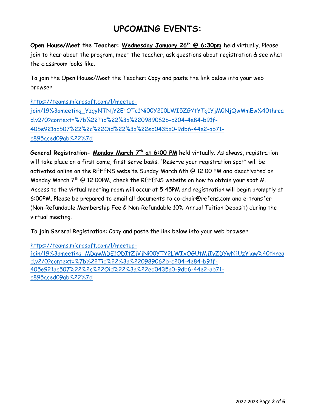## **UPCOMING EVENTS:**

**Open House/Meet the Teacher: Wednesday January 26<sup>th</sup> @ 6:30pm held virtually. Please** join to hear about the program, meet the teacher, ask questions about registration & see what the classroom looks like.

To join the Open House/Meet the Teacher: Copy and paste the link below into your web browser

[https://teams.microsoft.com/l/meetup](https://teams.microsoft.com/l/meetup-join/19%3ameeting_YzgyNTNjY2EtOTc1Ni00Y2I0LWI5ZGYtYTg1YjM0NjQwMmEw%40thread.v2/0?context=%7b%22Tid%22%3a%220989062b-c204-4e84-b91f-405e921ac507%22%2c%22Oid%22%3a%22ed0435a0-9db6-44e2-ab71-c895aced09ab%22%7d)[join/19%3ameeting\\_YzgyNTNjY2EtOTc1Ni00Y2I0LWI5ZGYtYTg1YjM0NjQwMmEw%40threa](https://teams.microsoft.com/l/meetup-join/19%3ameeting_YzgyNTNjY2EtOTc1Ni00Y2I0LWI5ZGYtYTg1YjM0NjQwMmEw%40thread.v2/0?context=%7b%22Tid%22%3a%220989062b-c204-4e84-b91f-405e921ac507%22%2c%22Oid%22%3a%22ed0435a0-9db6-44e2-ab71-c895aced09ab%22%7d) [d.v2/0?context=%7b%22Tid%22%3a%220989062b-c204-4e84-b91f-](https://teams.microsoft.com/l/meetup-join/19%3ameeting_YzgyNTNjY2EtOTc1Ni00Y2I0LWI5ZGYtYTg1YjM0NjQwMmEw%40thread.v2/0?context=%7b%22Tid%22%3a%220989062b-c204-4e84-b91f-405e921ac507%22%2c%22Oid%22%3a%22ed0435a0-9db6-44e2-ab71-c895aced09ab%22%7d)[405e921ac507%22%2c%22Oid%22%3a%22ed0435a0-9db6-44e2-ab71](https://teams.microsoft.com/l/meetup-join/19%3ameeting_YzgyNTNjY2EtOTc1Ni00Y2I0LWI5ZGYtYTg1YjM0NjQwMmEw%40thread.v2/0?context=%7b%22Tid%22%3a%220989062b-c204-4e84-b91f-405e921ac507%22%2c%22Oid%22%3a%22ed0435a0-9db6-44e2-ab71-c895aced09ab%22%7d) [c895aced09ab%22%7d](https://teams.microsoft.com/l/meetup-join/19%3ameeting_YzgyNTNjY2EtOTc1Ni00Y2I0LWI5ZGYtYTg1YjM0NjQwMmEw%40thread.v2/0?context=%7b%22Tid%22%3a%220989062b-c204-4e84-b91f-405e921ac507%22%2c%22Oid%22%3a%22ed0435a0-9db6-44e2-ab71-c895aced09ab%22%7d)

General Registration- Monday March 7<sup>th</sup> at 6:00 PM held virtually. As always, registration will take place on a first come, first serve basis. "Reserve your registration spot" will be activated online on the REFENS website Sunday March 6th @ 12:00 PM and deactivated on Monday March  $7^{th}$  @ 12:00PM, check the REFENS website on how to obtain your spot #. Access to the virtual meeting room will occur at 5:45PM and registration will begin promptly at 6:00PM. Please be prepared to email all documents to co-chair@refens.com and e-transfer (Non-Refundable Membership Fee & Non-Refundable 10% Annual Tuition Deposit) during the virtual meeting.

To join General Registration: Copy and paste the link below into your web browser

[https://teams.microsoft.com/l/meetup](https://teams.microsoft.com/l/meetup-join/19%3ameeting_MDgwMDE1ODItZjVjNi00YTY2LWIxOGUtMjIyZDYwNjUzYjgw%40thread.v2/0?context=%7b%22Tid%22%3a%220989062b-c204-4e84-b91f-405e921ac507%22%2c%22Oid%22%3a%22ed0435a0-9db6-44e2-ab71-c895aced09ab%22%7d)[join/19%3ameeting\\_MDgwMDE1ODItZjVjNi00YTY2LWIxOGUtMjIyZDYwNjUzYjgw%40threa](https://teams.microsoft.com/l/meetup-join/19%3ameeting_MDgwMDE1ODItZjVjNi00YTY2LWIxOGUtMjIyZDYwNjUzYjgw%40thread.v2/0?context=%7b%22Tid%22%3a%220989062b-c204-4e84-b91f-405e921ac507%22%2c%22Oid%22%3a%22ed0435a0-9db6-44e2-ab71-c895aced09ab%22%7d) [d.v2/0?context=%7b%22Tid%22%3a%220989062b-c204-4e84-b91f-](https://teams.microsoft.com/l/meetup-join/19%3ameeting_MDgwMDE1ODItZjVjNi00YTY2LWIxOGUtMjIyZDYwNjUzYjgw%40thread.v2/0?context=%7b%22Tid%22%3a%220989062b-c204-4e84-b91f-405e921ac507%22%2c%22Oid%22%3a%22ed0435a0-9db6-44e2-ab71-c895aced09ab%22%7d)[405e921ac507%22%2c%22Oid%22%3a%22ed0435a0-9db6-44e2-ab71](https://teams.microsoft.com/l/meetup-join/19%3ameeting_MDgwMDE1ODItZjVjNi00YTY2LWIxOGUtMjIyZDYwNjUzYjgw%40thread.v2/0?context=%7b%22Tid%22%3a%220989062b-c204-4e84-b91f-405e921ac507%22%2c%22Oid%22%3a%22ed0435a0-9db6-44e2-ab71-c895aced09ab%22%7d) [c895aced09ab%22%7d](https://teams.microsoft.com/l/meetup-join/19%3ameeting_MDgwMDE1ODItZjVjNi00YTY2LWIxOGUtMjIyZDYwNjUzYjgw%40thread.v2/0?context=%7b%22Tid%22%3a%220989062b-c204-4e84-b91f-405e921ac507%22%2c%22Oid%22%3a%22ed0435a0-9db6-44e2-ab71-c895aced09ab%22%7d)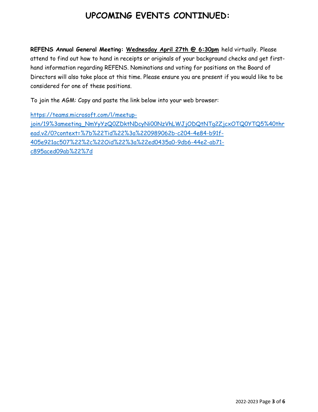# **UPCOMING EVENTS CONTINUED:**

**REFENS Annual General Meeting: Wednesday April 27th @ 6:30pm** held virtually. Please attend to find out how to hand in receipts or originals of your background checks and get firsthand information regarding REFENS. Nominations and voting for positions on the Board of Directors will also take place at this time. Please ensure you are present if you would like to be considered for one of these positions.

To join the AGM: Copy and paste the link below into your web browser:

[https://teams.microsoft.com/l/meetup](https://teams.microsoft.com/l/meetup-join/19%3ameeting_NmYyYzQ0ZDktNDcyNi00NzVhLWJjODQtNTg2ZjcxOTQ0YTQ5%40thread.v2/0?context=%7b%22Tid%22%3a%220989062b-c204-4e84-b91f-405e921ac507%22%2c%22Oid%22%3a%22ed0435a0-9db6-44e2-ab71-c895aced09ab%22%7d)[join/19%3ameeting\\_NmYyYzQ0ZDktNDcyNi00NzVhLWJjODQtNTg2ZjcxOTQ0YTQ5%40thr](https://teams.microsoft.com/l/meetup-join/19%3ameeting_NmYyYzQ0ZDktNDcyNi00NzVhLWJjODQtNTg2ZjcxOTQ0YTQ5%40thread.v2/0?context=%7b%22Tid%22%3a%220989062b-c204-4e84-b91f-405e921ac507%22%2c%22Oid%22%3a%22ed0435a0-9db6-44e2-ab71-c895aced09ab%22%7d) [ead.v2/0?context=%7b%22Tid%22%3a%220989062b-c204-4e84-b91f-](https://teams.microsoft.com/l/meetup-join/19%3ameeting_NmYyYzQ0ZDktNDcyNi00NzVhLWJjODQtNTg2ZjcxOTQ0YTQ5%40thread.v2/0?context=%7b%22Tid%22%3a%220989062b-c204-4e84-b91f-405e921ac507%22%2c%22Oid%22%3a%22ed0435a0-9db6-44e2-ab71-c895aced09ab%22%7d)[405e921ac507%22%2c%22Oid%22%3a%22ed0435a0-9db6-44e2-ab71](https://teams.microsoft.com/l/meetup-join/19%3ameeting_NmYyYzQ0ZDktNDcyNi00NzVhLWJjODQtNTg2ZjcxOTQ0YTQ5%40thread.v2/0?context=%7b%22Tid%22%3a%220989062b-c204-4e84-b91f-405e921ac507%22%2c%22Oid%22%3a%22ed0435a0-9db6-44e2-ab71-c895aced09ab%22%7d) [c895aced09ab%22%7d](https://teams.microsoft.com/l/meetup-join/19%3ameeting_NmYyYzQ0ZDktNDcyNi00NzVhLWJjODQtNTg2ZjcxOTQ0YTQ5%40thread.v2/0?context=%7b%22Tid%22%3a%220989062b-c204-4e84-b91f-405e921ac507%22%2c%22Oid%22%3a%22ed0435a0-9db6-44e2-ab71-c895aced09ab%22%7d)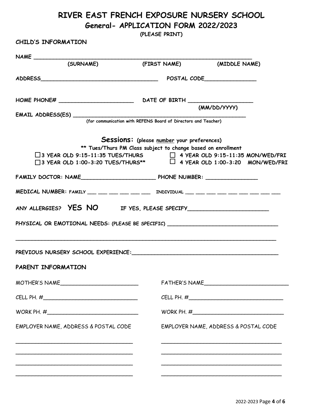### **RIVER EAST FRENCH EXPOSURE NURSERY SCHOOL General- APPLICATION FORM 2022/2023**

**(PLEASE PRINT)**

**CHILD'S INFORMATION** 

| (SURNAME)                                                                                                                                                            | (FIRST NAME) (MIDDLE NAME)                                                                                 |                                                                                                                       |  |  |  |
|----------------------------------------------------------------------------------------------------------------------------------------------------------------------|------------------------------------------------------------------------------------------------------------|-----------------------------------------------------------------------------------------------------------------------|--|--|--|
|                                                                                                                                                                      |                                                                                                            |                                                                                                                       |  |  |  |
|                                                                                                                                                                      |                                                                                                            |                                                                                                                       |  |  |  |
|                                                                                                                                                                      |                                                                                                            | (MM/DD/YYYY)                                                                                                          |  |  |  |
|                                                                                                                                                                      | (for communication with REFENS Board of Directors and Teacher)                                             |                                                                                                                       |  |  |  |
| $\Box$ 3 YEAR OLD 9:15-11:35 TUES/THURS $\Box$ 4 YEAR OLD 9:15-11:35 MON/WED/FRI<br>$\Box$ 3 YEAR OLD 1:00-3:20 TUES/THURS** $\Box$ 4 YEAR OLD 1:00-3:20 MON/WED/FRI | Sessions: (please number your preferences)<br>** Tues/Thurs PM Class subject to change based on enrollment |                                                                                                                       |  |  |  |
|                                                                                                                                                                      |                                                                                                            |                                                                                                                       |  |  |  |
| MEDICAL NUMBER: FAMILY ___ ___ ___ ___ ___ ___ INDIVIDUAL ___ ___ ___ ___ ___ ___ ___ ___ ___                                                                        |                                                                                                            |                                                                                                                       |  |  |  |
|                                                                                                                                                                      |                                                                                                            |                                                                                                                       |  |  |  |
| PHYSICAL OR EMOTIONAL NEEDS: (PLEASE BE SPECIFIC) ______________________________                                                                                     |                                                                                                            |                                                                                                                       |  |  |  |
| PREVIOUS NURSERY SCHOOL EXPERIENCE: Manual Communications and the PREVIOUS NURSERY SCHOOL EXPERIENCE:                                                                |                                                                                                            |                                                                                                                       |  |  |  |
| PARENT INFORMATION                                                                                                                                                   |                                                                                                            |                                                                                                                       |  |  |  |
| MOTHER'S NAME                                                                                                                                                        | FATHER'S NAME                                                                                              |                                                                                                                       |  |  |  |
|                                                                                                                                                                      |                                                                                                            |                                                                                                                       |  |  |  |
|                                                                                                                                                                      |                                                                                                            |                                                                                                                       |  |  |  |
| EMPLOYER NAME, ADDRESS & POSTAL CODE                                                                                                                                 |                                                                                                            | EMPLOYER NAME, ADDRESS & POSTAL CODE                                                                                  |  |  |  |
|                                                                                                                                                                      |                                                                                                            |                                                                                                                       |  |  |  |
|                                                                                                                                                                      |                                                                                                            | <u> 1989 - Johann Stoff, deutscher Stoff, der Stoff, der Stoff, der Stoff, der Stoff, der Stoff, der Stoff, der S</u> |  |  |  |
|                                                                                                                                                                      |                                                                                                            |                                                                                                                       |  |  |  |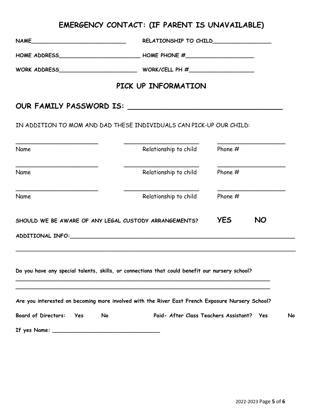# **EMERGENCY CONTACT: (IF PARENT IS UNAVAILABLE)**

| NAME                                                  |                                                                                                                                                                                                                                |            |           |    |
|-------------------------------------------------------|--------------------------------------------------------------------------------------------------------------------------------------------------------------------------------------------------------------------------------|------------|-----------|----|
|                                                       |                                                                                                                                                                                                                                |            |           |    |
|                                                       | WORK ADDRESS________________________________WORK/CELL PH #______________________                                                                                                                                               |            |           |    |
|                                                       | PICK UP INFORMATION                                                                                                                                                                                                            |            |           |    |
|                                                       |                                                                                                                                                                                                                                |            |           |    |
|                                                       | IN ADDITION TO MOM AND DAD THESE INDIVIDUALS CAN PICK-UP OUR CHILD:                                                                                                                                                            |            |           |    |
| Name                                                  | Relationship to child                                                                                                                                                                                                          | Phone $#$  |           |    |
| Name                                                  | Relationship to child                                                                                                                                                                                                          | Phone #    |           |    |
| Name                                                  | Relationship to child                                                                                                                                                                                                          | Phone $#$  |           |    |
| SHOULD WE BE AWARE OF ANY LEGAL CUSTODY ARRANGEMENTS? |                                                                                                                                                                                                                                | <b>YES</b> | <b>NO</b> |    |
|                                                       | ADDITIONAL INFO: University of the contract of the contract of the contract of the contract of the contract of the contract of the contract of the contract of the contract of the contract of the contract of the contract of |            |           |    |
|                                                       | Do you have any special talents, skills, or connections that could benefit our nursery school?                                                                                                                                 |            |           |    |
|                                                       | Are you interested on becoming more involved with the River East French Exposure Nursery School?                                                                                                                               |            |           |    |
| <b>Board of Directors:</b><br>Yes<br>No               | Paid- After Class Teachers Assistant? Yes                                                                                                                                                                                      |            |           | No |
|                                                       |                                                                                                                                                                                                                                |            |           |    |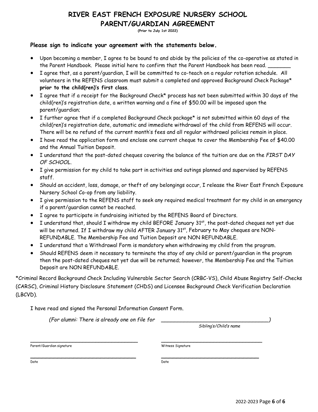#### **RIVER EAST FRENCH EXPOSURE NURSERY SCHOOL PARENT/GUARDIAN AGREEMENT**

**(Prior to July 1st 2022)**

#### **Please sign to indicate your agreement with the statements below.**

- Upon becoming a member, I agree to be bound to and abide by the policies of the co-operative as stated in the Parent Handbook. Please initial here to confirm that the Parent Handbook has been read.
- I agree that, as a parent/guardian, I will be committed to co-teach on a regular rotation schedule. All volunteers in the REFENS classroom must submit a completed and approved Background Check Package\* **prior to the child(ren)'s first class**.
- I agree that if a receipt for the Background Check\* process has not been submitted within 30 days of the child(ren)'s registration date, a written warning and a fine of \$50.00 will be imposed upon the parent/guardian;
- I further agree that if a completed Background Check package\* is not submitted within 60 days of the child(ren)'s registration date, automatic and immediate withdrawal of the child from REFENS will occur. There will be no refund of the current month's fees and all regular withdrawal policies remain in place.
- I have read the application form and enclose one current cheque to cover the Membership Fee of \$40.00 and the Annual Tuition Deposit.
- I understand that the post-dated cheques covering the balance of the tuition are due on the *FIRST DAY OF SCHOOL.*
- I give permission for my child to take part in activities and outings planned and supervised by REFENS staff.
- Should an accident, loss, damage, or theft of any belongings occur, I release the River East French Exposure Nursery School Co-op from any liability.
- I give permission to the REFENS staff to seek any required medical treatment for my child in an emergency if a parent/guardian cannot be reached.
- I agree to participate in fundraising initiated by the REFENS Board of Directors.
- I understand that, should I withdraw my child BEFORE January 31st, the post-dated cheques not yet due will be returned. If I withdraw my child AFTER January 31<sup>st</sup>, February to May cheques are NON-REFUNDABLE. The Membership Fee and Tuition Deposit are NON REFUNDABLE.
- I understand that a Withdrawal Form is mandatory when withdrawing my child from the program.
- Should REFENS deem it necessary to terminate the stay of any child or parent/guardian in the program then the post-dated cheques not yet due will be returned; however, the Membership Fee and the Tuition Deposit are NON REFUNDABLE.

\*Criminal Record Background Check Including Vulnerable Sector Search (CRBC-VS), Child Abuse Registry Self-Checks (CARSC), Criminal History Disclosure Statement (CHDS) and Licensee Background Check Verification Declaration (LBCVD).

I have read and signed the Personal Information Consent Form.

*(For alumni: There is already one on file for \_\_\_\_\_\_\_\_\_\_\_\_\_\_\_\_\_\_\_\_\_\_\_\_\_\_\_\_\_\_\_\_\_)*

*Sibling's/Child's name*

Parent/Guardian signature Witness Signature

Date Date

\_\_\_\_\_\_\_\_\_\_\_\_\_\_\_\_\_\_\_\_\_\_\_\_\_\_\_\_\_\_\_\_\_ \_\_\_\_\_\_\_\_\_\_\_\_\_\_\_\_\_\_\_\_\_\_\_\_\_\_\_\_\_\_\_

\_\_\_\_\_\_\_\_\_\_\_\_\_\_\_\_\_\_\_\_\_\_\_\_\_\_\_ \_\_\_\_\_\_\_\_\_\_\_\_\_\_\_\_\_\_\_\_\_\_\_\_\_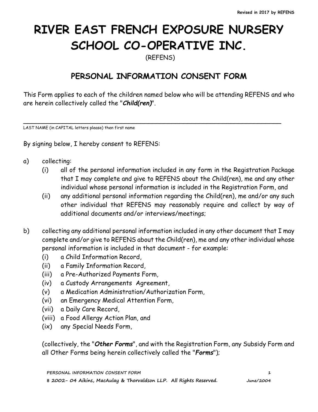# **RIVER EAST FRENCH EXPOSURE NURSERY SCHOOL CO-OPERATIVE INC.**

(REFENS)

## **PERSONAL INFORMATION CONSENT FORM**

This Form applies to each of the children named below who will be attending REFENS and who are herein collectively called the "*Child(ren)*".

\_\_\_\_\_\_\_\_\_\_\_\_\_\_\_\_\_\_\_\_\_\_\_\_\_\_\_\_\_\_\_\_\_\_\_\_\_\_\_\_\_\_\_\_\_\_\_\_\_\_\_\_\_\_\_\_\_\_\_\_\_\_\_\_\_\_

LAST NAME (in CAPITAL letters please) then first name

By signing below, I hereby consent to REFENS:

- a) collecting:
	- (i) all of the personal information included in any form in the Registration Package that I may complete and give to REFENS about the Child(ren), me and any other individual whose personal information is included in the Registration Form, and
	- (ii) any additional personal information regarding the Child(ren), me and/or any such other individual that REFENS may reasonably require and collect by way of additional documents and/or interviews/meetings;
- b) collecting any additional personal information included in any other document that I may complete and/or give to REFENS about the Child(ren), me and any other individual whose personal information is included in that document - for example:
	- (i) a Child Information Record,
	- (ii) a Family Information Record,
	- (iii) a Pre-Authorized Payments Form,
	- (iv) a Custody Arrangements Agreement,
	- (v) a Medication Administration/Authorization Form,
	- (vi) an Emergency Medical Attention Form,
	- (vii) a Daily Care Record,
	- (viii) a Food Allergy Action Plan, and
	- (ix) any Special Needs Form,

(collectively, the "*Other Forms*", and with the Registration Form, any Subsidy Form and all Other Forms being herein collectively called the "*Forms*");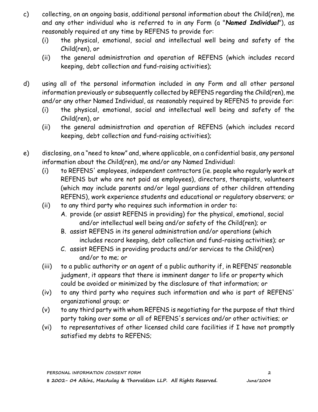- c) collecting, on an ongoing basis, additional personal information about the Child(ren), me and any other individual who is referred to in any Form (a "*Named Individual*"), as reasonably required at any time by REFENS to provide for:
	- (i) the physical, emotional, social and intellectual well being and safety of the Child(ren), or
	- (ii) the general administration and operation of REFENS (which includes record keeping, debt collection and fund-raising activities);
- d) using all of the personal information included in any Form and all other personal information previously or subsequently collected by REFENS regarding the Child(ren), me and/or any other Named Individual, as reasonably required by REFENS to provide for:
	- (i) the physical, emotional, social and intellectual well being and safety of the Child(ren), or
	- (ii) the general administration and operation of REFENS (which includes record keeping, debt collection and fund-raising activities);
- e) disclosing, on a "need to know" and, where applicable, on a confidential basis, any personal information about the Child(ren), me and/or any Named Individual:
	- (i) to REFENS' employees, independent contractors (ie. people who regularly work at REFENS but who are not paid as employees), directors, therapists, volunteers (which may include parents and/or legal guardians of other children attending REFENS), work experience students and educational or regulatory observers; or
	- (ii) to any third party who requires such information in order to:
		- A. provide (or assist REFENS in providing) for the physical, emotional, social and/or intellectual well being and/or safety of the Child(ren); or
		- B. assist REFENS in its general administration and/or operations (which includes record keeping, debt collection and fund-raising activities); or
		- C. assist REFENS in providing products and/or services to the Child(ren) and/or to me; or
	- (iii) to a public authority or an agent of a public authority if, in REFENS' reasonable judgment, it appears that there is imminent danger to life or property which could be avoided or minimized by the disclosure of that information; or
	- (iv) to any third party who requires such information and who is part of REFENS' organizational group; or
	- (v) to any third party with whom REFENS is negotiating for the purpose of that third party taking over some or all of REFENS's services and/or other activities; or
	- (vi) to representatives of other licensed child care facilities if I have not promptly satisfied my debts to REFENS;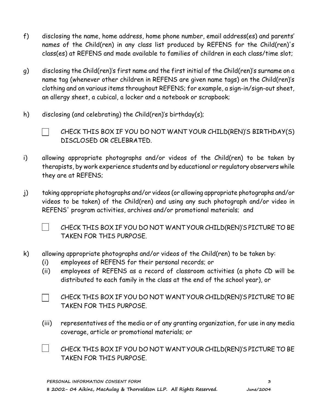- f) disclosing the name, home address, home phone number, email address(es) and parents' names of the Child(ren) in any class list produced by REFENS for the Child(ren)'s class(es) at REFENS and made available to families of children in each class/time slot;
- g) disclosing the Child(ren)'s first name and the first initial of the Child(ren)'s surname on a name tag (whenever other children in REFENS are given name tags) on the Child(ren)'s clothing and on various items throughout REFENS; for example, a sign-in/sign-out sheet, an allergy sheet, a cubical, a locker and a notebook or scrapbook;
- h) disclosing (and celebrating) the Child(ren)'s birthday(s);



CHECK THIS BOX IF YOU DO NOT WANT YOUR CHILD(REN)'S BIRTHDAY(S) DISCLOSED OR CELEBRATED.

- i) allowing appropriate photographs and/or videos of the Child(ren) to be taken by therapists, by work experience students and by educational or regulatory observers while they are at REFENS;
- j) taking appropriate photographs and/or videos (or allowing appropriate photographs and/or videos to be taken) of the Child(ren) and using any such photograph and/or video in REFENS' program activities, archives and/or promotional materials; and
	- $\blacksquare$

CHECK THIS BOX IF YOU DO NOT WANT YOUR CHILD(REN)'S PICTURE TO BE TAKEN FOR THIS PURPOSE.

- k) allowing appropriate photographs and/or videos of the Child(ren) to be taken by:
	- (i) employees of REFENS for their personal records; or
	- (ii) employees of REFENS as a record of classroom activities (a photo CD will be distributed to each family in the class at the end of the school year), or
	- CHECK THIS BOX IF YOU DO NOT WANT YOUR CHILD(REN)'S PICTURE TO BE TAKEN FOR THIS PURPOSE.
	- (iii) representatives of the media or of any granting organization, for use in any media coverage, article or promotional materials; or
	- $\mathbb{R}^n$ CHECK THIS BOX IF YOU DO NOT WANT YOUR CHILD(REN)'S PICTURE TO BE TAKEN FOR THIS PURPOSE.